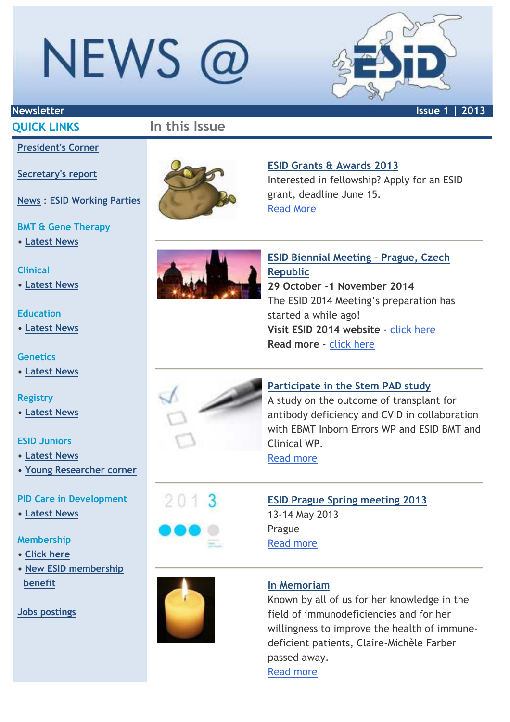## NEWS @



## **QUICK LINKS In this Issue**

## **President's Corner**

### **Secretary's report**

**News** : **ESID Working Parties**

### **BMT & Gene Therapy**

**• Latest News**

### **Clinical**

**• Latest News**

### **Education**

**• Latest News** 

### **Genetics**

**• Latest News**

## **Registry**

**• Latest News**

## **ESID Juniors**

- **Latest News**
- **Young Researcher corner**

## **PID Care in Development**

**• Latest News**

## **Membership**

- **Click here**
- **New ESID membership benefit**

## **Jobs postings**



## **ESID Grants & Awards 2013**

Interested in fellowship? Apply for an ESID grant, deadline June 15. Read More



**ESID Biennial Meeting – Prague, Czech Republic 29 October -1 November 2014**  The ESID 2014 Meeting's preparation has started a while ago! **Visit ESID 2014 website** - click here **Read more** - click here



**Participate in the Stem PAD study**

A study on the outcome of transplant for antibody deficiency and CVID in collaboration with EBMT Inborn Errors WP and ESID BMT and Clinical WP.

Read more

## **ESID Prague Spring meeting 2013** 13-14 May 2013 Prague Read more



 $2013$ 

## **In Memoriam**

Known by all of us for her knowledge in the field of immunodeficiencies and for her willingness to improve the health of immunedeficient patients, Claire-Michèle Farber passed away. Read more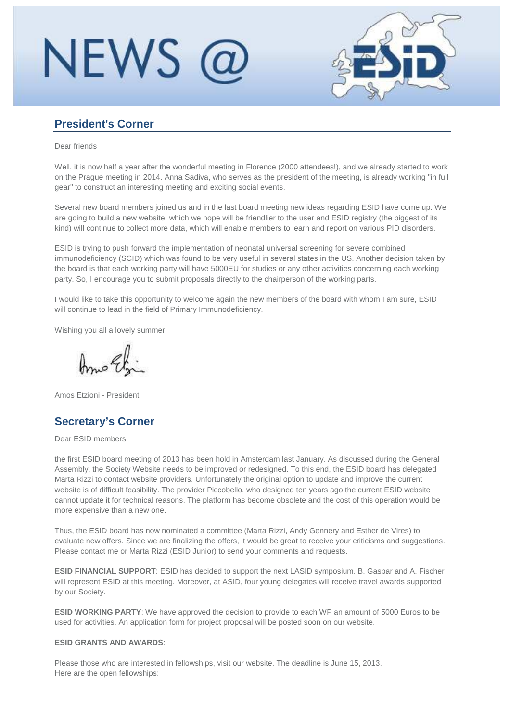## **NEWS**



## **President's Corner**

Dear friends

Well, it is now half a year after the wonderful meeting in Florence (2000 attendees!), and we already started to work on the Prague meeting in 2014. Anna Sadiva, who serves as the president of the meeting, is already working "in full gear" to construct an interesting meeting and exciting social events.

Several new board members joined us and in the last board meeting new ideas regarding ESID have come up. We are going to build a new website, which we hope will be friendlier to the user and ESID registry (the biggest of its kind) will continue to collect more data, which will enable members to learn and report on various PID disorders.

ESID is trying to push forward the implementation of neonatal universal screening for severe combined immunodeficiency (SCID) which was found to be very useful in several states in the US. Another decision taken by the board is that each working party will have 5000EU for studies or any other activities concerning each working party. So, I encourage you to submit proposals directly to the chairperson of the working parts.

I would like to take this opportunity to welcome again the new members of the board with whom I am sure, ESID will continue to lead in the field of Primary Immunodeficiency.

Wishing you all a lovely summer

Amos Etzioni - President

## **Secretary's Corner**

Dear ESID members,

the first ESID board meeting of 2013 has been hold in Amsterdam last January. As discussed during the General Assembly, the Society Website needs to be improved or redesigned. To this end, the ESID board has delegated Marta Rizzi to contact website providers. Unfortunately the original option to update and improve the current website is of difficult feasibility. The provider Piccobello, who designed ten years ago the current ESID website cannot update it for technical reasons. The platform has become obsolete and the cost of this operation would be more expensive than a new one.

Thus, the ESID board has now nominated a committee (Marta Rizzi, Andy Gennery and Esther de Vires) to evaluate new offers. Since we are finalizing the offers, it would be great to receive your criticisms and suggestions. Please contact me or Marta Rizzi (ESID Junior) to send your comments and requests.

**ESID FINANCIAL SUPPORT**: ESID has decided to support the next LASID symposium. B. Gaspar and A. Fischer will represent ESID at this meeting. Moreover, at ASID, four young delegates will receive travel awards supported by our Society.

**ESID WORKING PARTY:** We have approved the decision to provide to each WP an amount of 5000 Euros to be used for activities. An application form for project proposal will be posted soon on our website.

### **ESID GRANTS AND AWARDS**:

Please those who are interested in fellowships, visit our website. The deadline is June 15, 2013. Here are the open fellowships: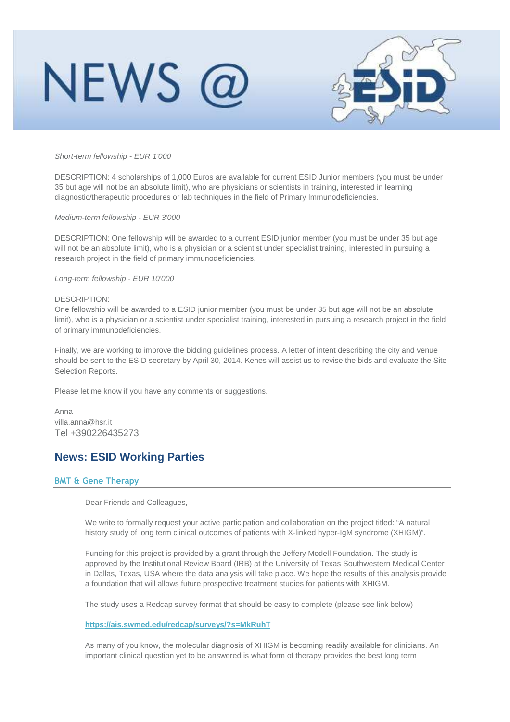

Short-term fellowship - EUR 1'000

DESCRIPTION: 4 scholarships of 1,000 Euros are available for current ESID Junior members (you must be under 35 but age will not be an absolute limit), who are physicians or scientists in training, interested in learning diagnostic/therapeutic procedures or lab techniques in the field of Primary Immunodeficiencies.

Medium-term fellowship - EUR 3'000

DESCRIPTION: One fellowship will be awarded to a current ESID junior member (you must be under 35 but age will not be an absolute limit), who is a physician or a scientist under specialist training, interested in pursuing a research project in the field of primary immunodeficiencies.

Long-term fellowship - EUR 10'000

#### DESCRIPTION:

One fellowship will be awarded to a ESID junior member (you must be under 35 but age will not be an absolute limit), who is a physician or a scientist under specialist training, interested in pursuing a research project in the field of primary immunodeficiencies.

Finally, we are working to improve the bidding guidelines process. A letter of intent describing the city and venue should be sent to the ESID secretary by April 30, 2014. Kenes will assist us to revise the bids and evaluate the Site Selection Reports.

Please let me know if you have any comments or suggestions.

Anna villa.anna@hsr.it Tel +390226435273

### **News: ESID Working Parties**

#### **BMT & Gene Therapy**

Dear Friends and Colleagues,

We write to formally request your active participation and collaboration on the project titled: "A natural history study of long term clinical outcomes of patients with X-linked hyper-IgM syndrome (XHIGM)".

Funding for this project is provided by a grant through the Jeffery Modell Foundation. The study is approved by the Institutional Review Board (IRB) at the University of Texas Southwestern Medical Center in Dallas, Texas, USA where the data analysis will take place. We hope the results of this analysis provide a foundation that will allows future prospective treatment studies for patients with XHIGM.

The study uses a Redcap survey format that should be easy to complete (please see link below)

### **https://ais.swmed.edu/redcap/surveys/?s=MkRuhT**

As many of you know, the molecular diagnosis of XHIGM is becoming readily available for clinicians. An important clinical question yet to be answered is what form of therapy provides the best long term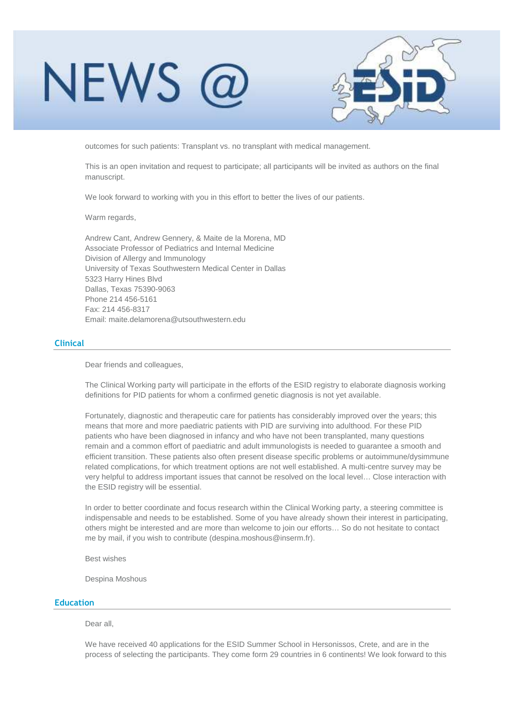

outcomes for such patients: Transplant vs. no transplant with medical management.

This is an open invitation and request to participate; all participants will be invited as authors on the final manuscript.

We look forward to working with you in this effort to better the lives of our patients.

Warm regards,

Andrew Cant, Andrew Gennery, & Maite de la Morena, MD Associate Professor of Pediatrics and Internal Medicine Division of Allergy and Immunology University of Texas Southwestern Medical Center in Dallas 5323 Harry Hines Blvd Dallas, Texas 75390-9063 Phone 214 456-5161 Fax: 214 456-8317 Email: maite.delamorena@utsouthwestern.edu

### **Clinical**

Dear friends and colleagues,

The Clinical Working party will participate in the efforts of the ESID registry to elaborate diagnosis working definitions for PID patients for whom a confirmed genetic diagnosis is not yet available.

Fortunately, diagnostic and therapeutic care for patients has considerably improved over the years; this means that more and more paediatric patients with PID are surviving into adulthood. For these PID patients who have been diagnosed in infancy and who have not been transplanted, many questions remain and a common effort of paediatric and adult immunologists is needed to guarantee a smooth and efficient transition. These patients also often present disease specific problems or autoimmune/dysimmune related complications, for which treatment options are not well established. A multi-centre survey may be very helpful to address important issues that cannot be resolved on the local level… Close interaction with the ESID registry will be essential.

In order to better coordinate and focus research within the Clinical Working party, a steering committee is indispensable and needs to be established. Some of you have already shown their interest in participating, others might be interested and are more than welcome to join our efforts… So do not hesitate to contact me by mail, if you wish to contribute (despina.moshous@inserm.fr).

Best wishes

Despina Moshous

#### **Education**

Dear all,

We have received 40 applications for the ESID Summer School in Hersonissos, Crete, and are in the process of selecting the participants. They come form 29 countries in 6 continents! We look forward to this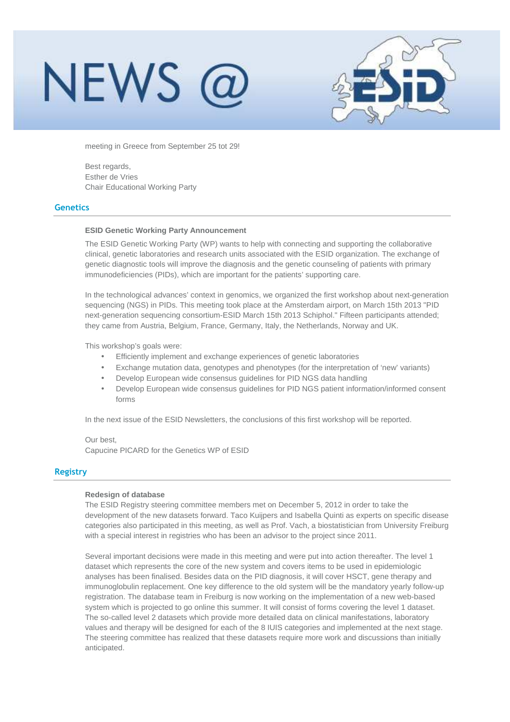## NEWS 1



meeting in Greece from September 25 tot 29!

Best regards, Esther de Vries Chair Educational Working Party

#### **Genetics**

#### **ESID Genetic Working Party Announcement**

The ESID Genetic Working Party (WP) wants to help with connecting and supporting the collaborative clinical, genetic laboratories and research units associated with the ESID organization. The exchange of genetic diagnostic tools will improve the diagnosis and the genetic counseling of patients with primary immunodeficiencies (PIDs), which are important for the patients' supporting care.

In the technological advances' context in genomics, we organized the first workshop about next-generation sequencing (NGS) in PIDs. This meeting took place at the Amsterdam airport, on March 15th 2013 "PID next-generation sequencing consortium-ESID March 15th 2013 Schiphol." Fifteen participants attended; they came from Austria, Belgium, France, Germany, Italy, the Netherlands, Norway and UK.

This workshop's goals were:

- Efficiently implement and exchange experiences of genetic laboratories
- Exchange mutation data, genotypes and phenotypes (for the interpretation of 'new' variants)
- Develop European wide consensus guidelines for PID NGS data handling
- Develop European wide consensus guidelines for PID NGS patient information/informed consent forms

In the next issue of the ESID Newsletters, the conclusions of this first workshop will be reported.

Our best, Capucine PICARD for the Genetics WP of ESID

### **Registry**

#### **Redesign of database**

The ESID Registry steering committee members met on December 5, 2012 in order to take the development of the new datasets forward. Taco Kuijpers and Isabella Quinti as experts on specific disease categories also participated in this meeting, as well as Prof. Vach, a biostatistician from University Freiburg with a special interest in registries who has been an advisor to the project since 2011.

Several important decisions were made in this meeting and were put into action thereafter. The level 1 dataset which represents the core of the new system and covers items to be used in epidemiologic analyses has been finalised. Besides data on the PID diagnosis, it will cover HSCT, gene therapy and immunoglobulin replacement. One key difference to the old system will be the mandatory yearly follow-up registration. The database team in Freiburg is now working on the implementation of a new web-based system which is projected to go online this summer. It will consist of forms covering the level 1 dataset. The so-called level 2 datasets which provide more detailed data on clinical manifestations, laboratory values and therapy will be designed for each of the 8 IUIS categories and implemented at the next stage. The steering committee has realized that these datasets require more work and discussions than initially anticipated.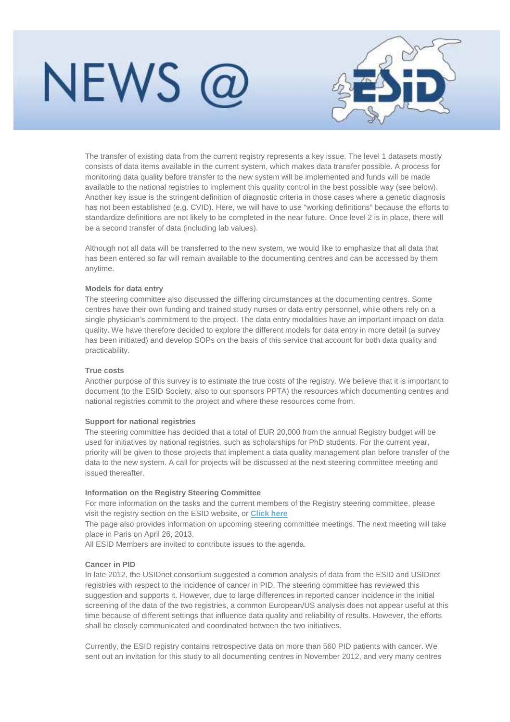

The transfer of existing data from the current registry represents a key issue. The level 1 datasets mostly consists of data items available in the current system, which makes data transfer possible. A process for monitoring data quality before transfer to the new system will be implemented and funds will be made available to the national registries to implement this quality control in the best possible way (see below). Another key issue is the stringent definition of diagnostic criteria in those cases where a genetic diagnosis has not been established (e.g. CVID). Here, we will have to use "working definitions" because the efforts to standardize definitions are not likely to be completed in the near future. Once level 2 is in place, there will be a second transfer of data (including lab values).

Although not all data will be transferred to the new system, we would like to emphasize that all data that has been entered so far will remain available to the documenting centres and can be accessed by them anytime.

### **Models for data entry**

The steering committee also discussed the differing circumstances at the documenting centres. Some centres have their own funding and trained study nurses or data entry personnel, while others rely on a single physician's commitment to the project. The data entry modalities have an important impact on data quality. We have therefore decided to explore the different models for data entry in more detail (a survey has been initiated) and develop SOPs on the basis of this service that account for both data quality and practicability.

### **True costs**

Another purpose of this survey is to estimate the true costs of the registry. We believe that it is important to document (to the ESID Society, also to our sponsors PPTA) the resources which documenting centres and national registries commit to the project and where these resources come from.

#### **Support for national registries**

The steering committee has decided that a total of EUR 20,000 from the annual Registry budget will be used for initiatives by national registries, such as scholarships for PhD students. For the current year, priority will be given to those projects that implement a data quality management plan before transfer of the data to the new system. A call for projects will be discussed at the next steering committee meeting and issued thereafter.

#### **Information on the Registry Steering Committee**

For more information on the tasks and the current members of the Registry steering committee, please visit the registry section on the ESID website, or **Click here**

The page also provides information on upcoming steering committee meetings. The next meeting will take place in Paris on April 26, 2013.

All ESID Members are invited to contribute issues to the agenda.

### **Cancer in PID**

In late 2012, the USIDnet consortium suggested a common analysis of data from the ESID and USIDnet registries with respect to the incidence of cancer in PID. The steering committee has reviewed this suggestion and supports it. However, due to large differences in reported cancer incidence in the initial screening of the data of the two registries, a common European/US analysis does not appear useful at this time because of different settings that influence data quality and reliability of results. However, the efforts shall be closely communicated and coordinated between the two initiatives.

Currently, the ESID registry contains retrospective data on more than 560 PID patients with cancer. We sent out an invitation for this study to all documenting centres in November 2012, and very many centres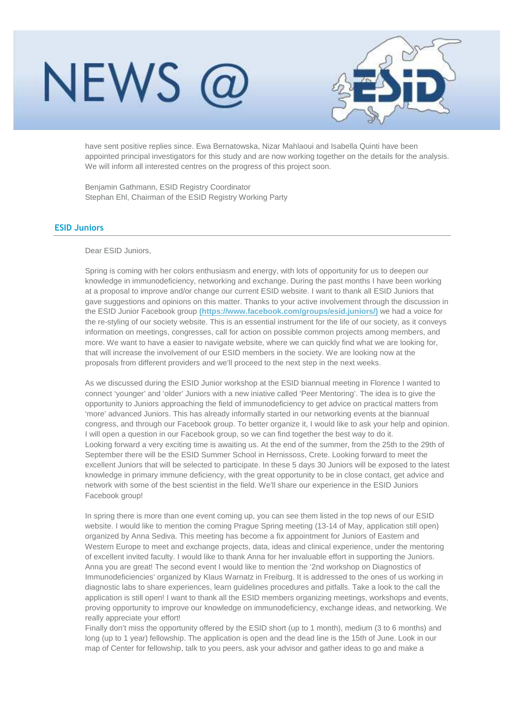

have sent positive replies since. Ewa Bernatowska, Nizar Mahlaoui and Isabella Quinti have been appointed principal investigators for this study and are now working together on the details for the analysis. We will inform all interested centres on the progress of this project soon.

Benjamin Gathmann, ESID Registry Coordinator Stephan Ehl, Chairman of the ESID Registry Working Party

### **ESID Juniors**

### Dear ESID Juniors,

Spring is coming with her colors enthusiasm and energy, with lots of opportunity for us to deepen our knowledge in immunodeficiency, networking and exchange. During the past months I have been working at a proposal to improve and/or change our current ESID website. I want to thank all ESID Juniors that gave suggestions and opinions on this matter. Thanks to your active involvement through the discussion in the ESID Junior Facebook group **(https://www.facebook.com/groups/esid.juniors/)** we had a voice for the re-styling of our society website. This is an essential instrument for the life of our society, as it conveys information on meetings, congresses, call for action on possible common projects among members, and more. We want to have a easier to navigate website, where we can quickly find what we are looking for, that will increase the involvement of our ESID members in the society. We are looking now at the proposals from different providers and we'll proceed to the next step in the next weeks.

As we discussed during the ESID Junior workshop at the ESID biannual meeting in Florence I wanted to connect 'younger' and 'older' Juniors with a new iniative called 'Peer Mentoring'. The idea is to give the opportunity to Juniors approaching the field of immunodeficiency to get advice on practical matters from 'more' advanced Juniors. This has already informally started in our networking events at the biannual congress, and through our Facebook group. To better organize it, I would like to ask your help and opinion. I will open a question in our Facebook group, so we can find together the best way to do it. Looking forward a very exciting time is awaiting us. At the end of the summer, from the 25th to the 29th of September there will be the ESID Summer School in Hernissoss, Crete. Looking forward to meet the excellent Juniors that will be selected to participate. In these 5 days 30 Juniors will be exposed to the latest knowledge in primary immune deficiency, with the great opportunity to be in close contact, get advice and network with some of the best scientist in the field. We'll share our experience in the ESID Juniors Facebook group!

In spring there is more than one event coming up, you can see them listed in the top news of our ESID website. I would like to mention the coming Prague Spring meeting (13-14 of May, application still open) organized by Anna Sediva. This meeting has become a fix appointment for Juniors of Eastern and Western Europe to meet and exchange projects, data, ideas and clinical experience, under the mentoring of excellent invited faculty. I would like to thank Anna for her invaluable effort in supporting the Juniors. Anna you are great! The second event I would like to mention the '2nd workshop on Diagnostics of Immunodeficiencies' organized by Klaus Warnatz in Freiburg. It is addressed to the ones of us working in diagnostic labs to share experiences, learn guidelines procedures and pitfalls. Take a look to the call the application is still open! I want to thank all the ESID members organizing meetings, workshops and events, proving opportunity to improve our knowledge on immunodeficiency, exchange ideas, and networking. We really appreciate your effort!

Finally don't miss the opportunity offered by the ESID short (up to 1 month), medium (3 to 6 months) and long (up to 1 year) fellowship. The application is open and the dead line is the 15th of June. Look in our map of Center for fellowship, talk to you peers, ask your advisor and gather ideas to go and make a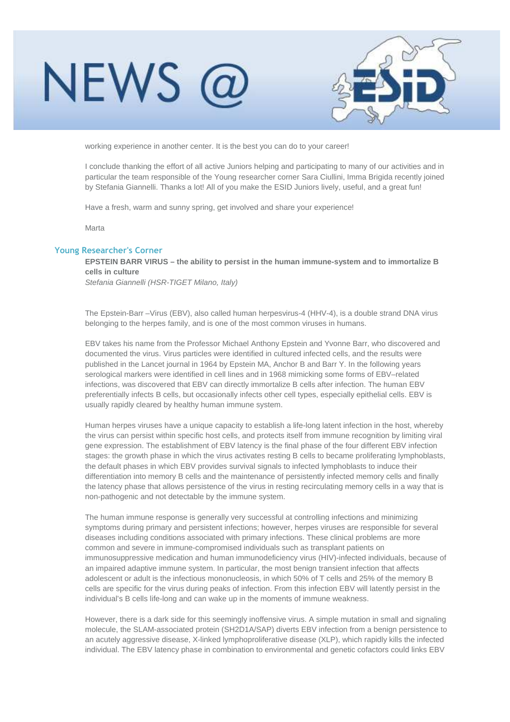

working experience in another center. It is the best you can do to your career!

I conclude thanking the effort of all active Juniors helping and participating to many of our activities and in particular the team responsible of the Young researcher corner Sara Ciullini, Imma Brigida recently joined by Stefania Giannelli. Thanks a lot! All of you make the ESID Juniors lively, useful, and a great fun!

Have a fresh, warm and sunny spring, get involved and share your experience!

Marta

### **Young Researcher's Corner**

**EPSTEIN BARR VIRUS – the ability to persist in the human immune-system and to immortalize B cells in culture** 

Stefania Giannelli (HSR-TIGET Milano, Italy)

The Epstein-Barr –Virus (EBV), also called human herpesvirus-4 (HHV-4), is a double strand DNA virus belonging to the herpes family, and is one of the most common viruses in humans.

EBV takes his name from the Professor Michael Anthony Epstein and Yvonne Barr, who discovered and documented the virus. Virus particles were identified in cultured infected cells, and the results were published in the Lancet journal in 1964 by Epstein MA, Anchor B and Barr Y. In the following years serological markers were identified in cell lines and in 1968 mimicking some forms of EBV–related infections, was discovered that EBV can directly immortalize B cells after infection. The human EBV preferentially infects B cells, but occasionally infects other cell types, especially epithelial cells. EBV is usually rapidly cleared by healthy human immune system.

Human herpes viruses have a unique capacity to establish a life-long latent infection in the host, whereby the virus can persist within specific host cells, and protects itself from immune recognition by limiting viral gene expression. The establishment of EBV latency is the final phase of the four different EBV infection stages: the growth phase in which the virus activates resting B cells to became proliferating lymphoblasts, the default phases in which EBV provides survival signals to infected lymphoblasts to induce their differentiation into memory B cells and the maintenance of persistently infected memory cells and finally the latency phase that allows persistence of the virus in resting recirculating memory cells in a way that is non-pathogenic and not detectable by the immune system.

The human immune response is generally very successful at controlling infections and minimizing symptoms during primary and persistent infections; however, herpes viruses are responsible for several diseases including conditions associated with primary infections. These clinical problems are more common and severe in immune-compromised individuals such as transplant patients on immunosuppressive medication and human immunodeficiency virus (HIV)-infected individuals, because of an impaired adaptive immune system. In particular, the most benign transient infection that affects adolescent or adult is the infectious mononucleosis, in which 50% of T cells and 25% of the memory B cells are specific for the virus during peaks of infection. From this infection EBV will latently persist in the individual's B cells life-long and can wake up in the moments of immune weakness.

However, there is a dark side for this seemingly inoffensive virus. A simple mutation in small and signaling molecule, the SLAM-associated protein (SH2D1A/SAP) diverts EBV infection from a benign persistence to an acutely aggressive disease, X-linked lymphoproliferative disease (XLP), which rapidly kills the infected individual. The EBV latency phase in combination to environmental and genetic cofactors could links EBV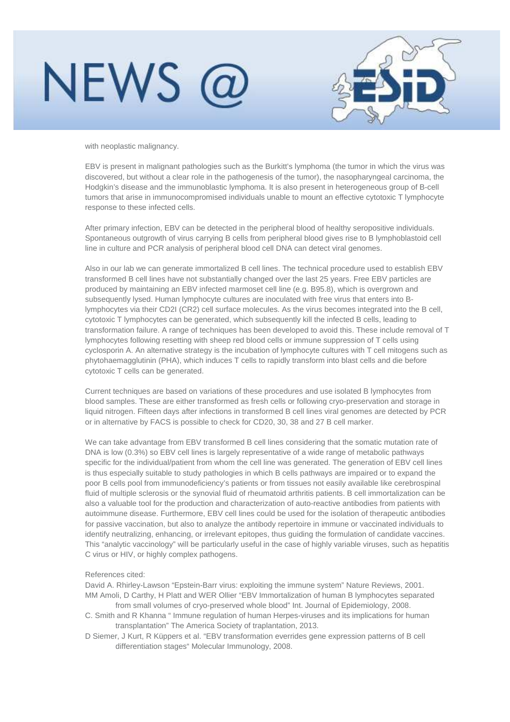## **NEWS**



with neoplastic malignancy.

EBV is present in malignant pathologies such as the Burkitt's lymphoma (the tumor in which the virus was discovered, but without a clear role in the pathogenesis of the tumor), the nasopharyngeal carcinoma, the Hodgkin's disease and the immunoblastic lymphoma. It is also present in heterogeneous group of B-cell tumors that arise in immunocompromised individuals unable to mount an effective cytotoxic T lymphocyte response to these infected cells.

After primary infection, EBV can be detected in the peripheral blood of healthy seropositive individuals. Spontaneous outgrowth of virus carrying B cells from peripheral blood gives rise to B lymphoblastoid cell line in culture and PCR analysis of peripheral blood cell DNA can detect viral genomes.

Also in our lab we can generate immortalized B cell lines. The technical procedure used to establish EBV transformed B cell lines have not substantially changed over the last 25 years. Free EBV particles are produced by maintaining an EBV infected marmoset cell line (e.g. B95.8), which is overgrown and subsequently lysed. Human lymphocyte cultures are inoculated with free virus that enters into Blymphocytes via their CD2I (CR2) cell surface molecules. As the virus becomes integrated into the B cell, cytotoxic T lymphocytes can be generated, which subsequently kill the infected B cells, leading to transformation failure. A range of techniques has been developed to avoid this. These include removal of T lymphocytes following resetting with sheep red blood cells or immune suppression of T cells using cyclosporin A. An alternative strategy is the incubation of lymphocyte cultures with T cell mitogens such as phytohaemagglutinin (PHA), which induces T cells to rapidly transform into blast cells and die before cytotoxic T cells can be generated.

Current techniques are based on variations of these procedures and use isolated B lymphocytes from blood samples. These are either transformed as fresh cells or following cryo-preservation and storage in liquid nitrogen. Fifteen days after infections in transformed B cell lines viral genomes are detected by PCR or in alternative by FACS is possible to check for CD20, 30, 38 and 27 B cell marker.

We can take advantage from EBV transformed B cell lines considering that the somatic mutation rate of DNA is low (0.3%) so EBV cell lines is largely representative of a wide range of metabolic pathways specific for the individual/patient from whom the cell line was generated. The generation of EBV cell lines is thus especially suitable to study pathologies in which B cells pathways are impaired or to expand the poor B cells pool from immunodeficiency's patients or from tissues not easily available like cerebrospinal fluid of multiple sclerosis or the synovial fluid of rheumatoid arthritis patients. B cell immortalization can be also a valuable tool for the production and characterization of auto-reactive antibodies from patients with autoimmune disease. Furthermore, EBV cell lines could be used for the isolation of therapeutic antibodies for passive vaccination, but also to analyze the antibody repertoire in immune or vaccinated individuals to identify neutralizing, enhancing, or irrelevant epitopes, thus guiding the formulation of candidate vaccines. This "analytic vaccinology" will be particularly useful in the case of highly variable viruses, such as hepatitis C virus or HIV, or highly complex pathogens.

#### References cited:

David A. Rhirley-Lawson "Epstein-Barr virus: exploiting the immune system" Nature Reviews, 2001. MM Amoli, D Carthy, H Platt and WER Ollier "EBV Immortalization of human B lymphocytes separated from small volumes of cryo-preserved whole blood" Int. Journal of Epidemiology, 2008.

- C. Smith and R Khanna " Immune regulation of human Herpes-viruses and its implications for human transplantation" The America Society of traplantation, 2013.
- D Siemer, J Kurt, R Küppers et al. "EBV transformation everrides gene expression patterns of B cell differentiation stages" Molecular Immunology, 2008.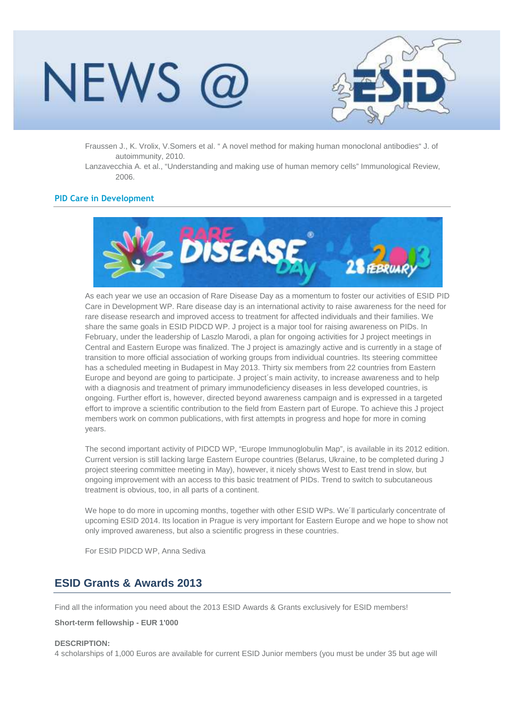## NEWS I



Fraussen J., K. Vrolix, V.Somers et al. " A novel method for making human monoclonal antibodies" J. of autoimmunity, 2010.

Lanzavecchia A. et al., "Understanding and making use of human memory cells" Immunological Review, 2006.

### **PID Care in Development**



As each year we use an occasion of Rare Disease Day as a momentum to foster our activities of ESID PID Care in Development WP. Rare disease day is an international activity to raise awareness for the need for rare disease research and improved access to treatment for affected individuals and their families. We share the same goals in ESID PIDCD WP. J project is a major tool for raising awareness on PIDs. In February, under the leadership of Laszlo Marodi, a plan for ongoing activities for J project meetings in Central and Eastern Europe was finalized. The J project is amazingly active and is currently in a stage of transition to more official association of working groups from individual countries. Its steering committee has a scheduled meeting in Budapest in May 2013. Thirty six members from 22 countries from Eastern Europe and beyond are going to participate. J project´s main activity, to increase awareness and to help with a diagnosis and treatment of primary immunodeficiency diseases in less developed countries, is ongoing. Further effort is, however, directed beyond awareness campaign and is expressed in a targeted effort to improve a scientific contribution to the field from Eastern part of Europe. To achieve this J project members work on common publications, with first attempts in progress and hope for more in coming years.

The second important activity of PIDCD WP, "Europe Immunoglobulin Map", is available in its 2012 edition. Current version is still lacking large Eastern Europe countries (Belarus, Ukraine, to be completed during J project steering committee meeting in May), however, it nicely shows West to East trend in slow, but ongoing improvement with an access to this basic treatment of PIDs. Trend to switch to subcutaneous treatment is obvious, too, in all parts of a continent.

We hope to do more in upcoming months, together with other ESID WPs. We'll particularly concentrate of upcoming ESID 2014. Its location in Prague is very important for Eastern Europe and we hope to show not only improved awareness, but also a scientific progress in these countries.

For ESID PIDCD WP, Anna Sediva

### **ESID Grants & Awards 2013**

Find all the information you need about the 2013 ESID Awards & Grants exclusively for ESID members!

**Short-term fellowship - EUR 1'000** 

#### **DESCRIPTION:**

4 scholarships of 1,000 Euros are available for current ESID Junior members (you must be under 35 but age will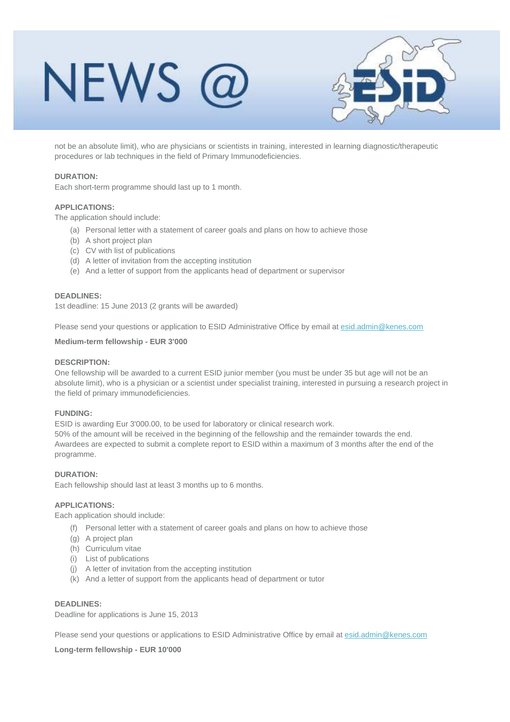## NEWS @



not be an absolute limit), who are physicians or scientists in training, interested in learning diagnostic/therapeutic procedures or lab techniques in the field of Primary Immunodeficiencies.

### **DURATION:**

Each short-term programme should last up to 1 month.

### **APPLICATIONS:**

The application should include:

- (a) Personal letter with a statement of career goals and plans on how to achieve those
- (b) A short project plan
- (c) CV with list of publications
- (d) A letter of invitation from the accepting institution
- (e) And a letter of support from the applicants head of department or supervisor

### **DEADLINES:**

1st deadline: 15 June 2013 (2 grants will be awarded)

Please send your questions or application to ESID Administrative Office by email at esid.admin@kenes.com

### **Medium-term fellowship - EUR 3'000**

### **DESCRIPTION:**

One fellowship will be awarded to a current ESID junior member (you must be under 35 but age will not be an absolute limit), who is a physician or a scientist under specialist training, interested in pursuing a research project in the field of primary immunodeficiencies.

### **FUNDING:**

ESID is awarding Eur 3'000.00, to be used for laboratory or clinical research work. 50% of the amount will be received in the beginning of the fellowship and the remainder towards the end. Awardees are expected to submit a complete report to ESID within a maximum of 3 months after the end of the programme.

### **DURATION:**

Each fellowship should last at least 3 months up to 6 months.

#### **APPLICATIONS:**

Each application should include:

- (f) Personal letter with a statement of career goals and plans on how to achieve those
- (g) A project plan
- (h) Curriculum vitae
- (i) List of publications
- (j) A letter of invitation from the accepting institution
- (k) And a letter of support from the applicants head of department or tutor

### **DEADLINES:**

Deadline for applications is June 15, 2013

Please send your questions or applications to ESID Administrative Office by email at esid.admin@kenes.com

**Long-term fellowship - EUR 10'000**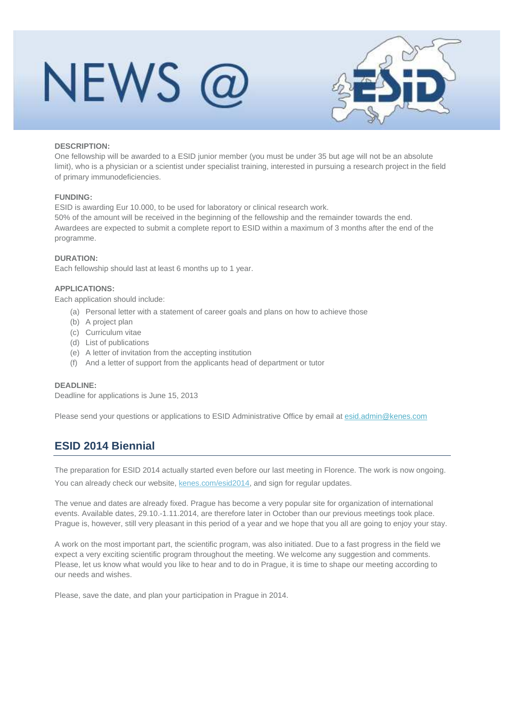

### **DESCRIPTION:**

One fellowship will be awarded to a ESID junior member (you must be under 35 but age will not be an absolute limit), who is a physician or a scientist under specialist training, interested in pursuing a research project in the field of primary immunodeficiencies.

### **FUNDING:**

ESID is awarding Eur 10.000, to be used for laboratory or clinical research work.

50% of the amount will be received in the beginning of the fellowship and the remainder towards the end. Awardees are expected to submit a complete report to ESID within a maximum of 3 months after the end of the programme.

### **DURATION:**

Each fellowship should last at least 6 months up to 1 year.

### **APPLICATIONS:**

Each application should include:

- (a) Personal letter with a statement of career goals and plans on how to achieve those
- (b) A project plan
- (c) Curriculum vitae
- (d) List of publications
- (e) A letter of invitation from the accepting institution
- (f) And a letter of support from the applicants head of department or tutor

### **DEADLINE:**

Deadline for applications is June 15, 2013

Please send your questions or applications to ESID Administrative Office by email at esid.admin@kenes.com

## **ESID 2014 Biennial**

The preparation for ESID 2014 actually started even before our last meeting in Florence. The work is now ongoing. You can already check our website, kenes.com/esid2014, and sign for regular updates.

The venue and dates are already fixed. Prague has become a very popular site for organization of international events. Available dates, 29.10.-1.11.2014, are therefore later in October than our previous meetings took place. Prague is, however, still very pleasant in this period of a year and we hope that you all are going to enjoy your stay.

A work on the most important part, the scientific program, was also initiated. Due to a fast progress in the field we expect a very exciting scientific program throughout the meeting. We welcome any suggestion and comments. Please, let us know what would you like to hear and to do in Prague, it is time to shape our meeting according to our needs and wishes.

Please, save the date, and plan your participation in Prague in 2014.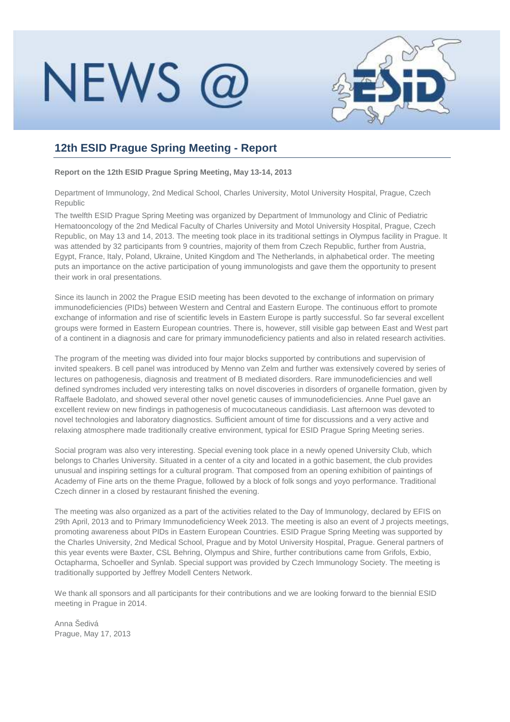

## **12th ESID Prague Spring Meeting - Report**

**Report on the 12th ESID Prague Spring Meeting, May 13-14, 2013**

Department of Immunology, 2nd Medical School, Charles University, Motol University Hospital, Prague, Czech Republic

The twelfth ESID Prague Spring Meeting was organized by Department of Immunology and Clinic of Pediatric Hematooncology of the 2nd Medical Faculty of Charles University and Motol University Hospital, Prague, Czech Republic, on May 13 and 14, 2013. The meeting took place in its traditional settings in Olympus facility in Prague. It was attended by 32 participants from 9 countries, majority of them from Czech Republic, further from Austria, Egypt, France, Italy, Poland, Ukraine, United Kingdom and The Netherlands, in alphabetical order. The meeting puts an importance on the active participation of young immunologists and gave them the opportunity to present their work in oral presentations.

Since its launch in 2002 the Prague ESID meeting has been devoted to the exchange of information on primary immunodeficiencies (PIDs) between Western and Central and Eastern Europe. The continuous effort to promote exchange of information and rise of scientific levels in Eastern Europe is partly successful. So far several excellent groups were formed in Eastern European countries. There is, however, still visible gap between East and West part of a continent in a diagnosis and care for primary immunodeficiency patients and also in related research activities.

The program of the meeting was divided into four major blocks supported by contributions and supervision of invited speakers. B cell panel was introduced by Menno van Zelm and further was extensively covered by series of lectures on pathogenesis, diagnosis and treatment of B mediated disorders. Rare immunodeficiencies and well defined syndromes included very interesting talks on novel discoveries in disorders of organelle formation, given by Raffaele Badolato, and showed several other novel genetic causes of immunodeficiencies. Anne Puel gave an excellent review on new findings in pathogenesis of mucocutaneous candidiasis. Last afternoon was devoted to novel technologies and laboratory diagnostics. Sufficient amount of time for discussions and a very active and relaxing atmosphere made traditionally creative environment, typical for ESID Prague Spring Meeting series.

Social program was also very interesting. Special evening took place in a newly opened University Club, which belongs to Charles University. Situated in a center of a city and located in a gothic basement, the club provides unusual and inspiring settings for a cultural program. That composed from an opening exhibition of paintings of Academy of Fine arts on the theme Prague, followed by a block of folk songs and yoyo performance. Traditional Czech dinner in a closed by restaurant finished the evening.

The meeting was also organized as a part of the activities related to the Day of Immunology, declared by EFIS on 29th April, 2013 and to Primary Immunodeficiency Week 2013. The meeting is also an event of J projects meetings, promoting awareness about PIDs in Eastern European Countries. ESID Prague Spring Meeting was supported by the Charles University, 2nd Medical School, Prague and by Motol University Hospital, Prague. General partners of this year events were Baxter, CSL Behring, Olympus and Shire, further contributions came from Grifols, Exbio, Octapharma, Schoeller and Synlab. Special support was provided by Czech Immunology Society. The meeting is traditionally supported by Jeffrey Modell Centers Network.

We thank all sponsors and all participants for their contributions and we are looking forward to the biennial ESID meeting in Prague in 2014.

Anna Šedivá Prague, May 17, 2013